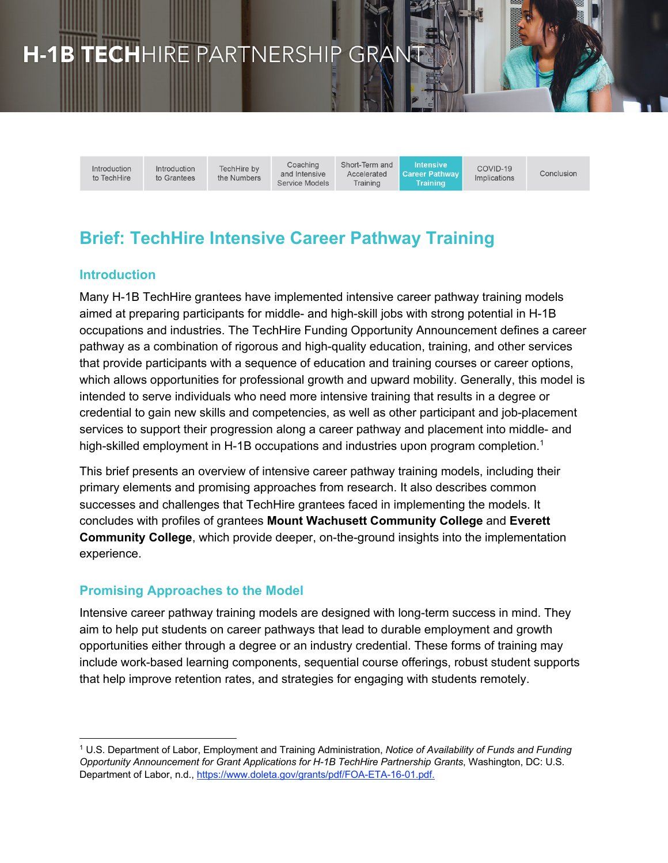# H-1B TECHHIRE PARTNERSHIP GRAN

Introduction to TechHire Introduction TechHire by to Grantees the Numbers

Coaching and Intensive Service Models Short-Term and Accelerated Training

**Intensive Career Pathway Training** 

COVID-19 Conclusion Implications

# **Brief: TechHire Intensive Career Pathway Training**

#### **Introduction**

Many H-1B TechHire grantees have implemented intensive career pathway training models aimed at preparing participants for middle- and high-skill jobs with strong potential in H-1B occupations and industries. The TechHire Funding Opportunity Announcement defines a career pathway as a combination of rigorous and high-quality education, training, and other services that provide participants with a sequence of education and training courses or career options, which allows opportunities for professional growth and upward mobility. Generally, this model is intended to serve individuals who need more intensive training that results in a degree or credential to gain new skills and competencies, as well as other participant and job-placement services to support their progression along a career pathway and placement into middle- and high-skilled employment in H-1B occupations and industries upon program completion.<sup>1</sup>

This brief presents an overview of intensive career pathway training models, including their primary elements and promising approaches from research. It also describes common successes and challenges that TechHire grantees faced in implementing the models. It concludes with profiles of grantees **Mount Wachusett Community College** and **Everett Community College**, which provide deeper, on-the-ground insights into the implementation experience.

#### **Promising Approaches to the Model**

Intensive career pathway training models are designed with long-term success in mind. They aim to help put students on career pathways that lead to durable employment and growth opportunities either through a degree or an industry credential. These forms of training may include work-based learning components, sequential course offerings, robust student supports that help improve retention rates, and strategies for engaging with students remotely.

<sup>1</sup> U.S. Department of Labor, Employment and Training Administration, *Notice of Availability of Funds and Funding Opportunity Announcement for Grant Applications for H-1B TechHire Partnership Grants*, Washington, DC: U.S. Department of Labor, n.d., https://www.doleta.gov/grants/pdf/FOA-ETA-16-01.pdf.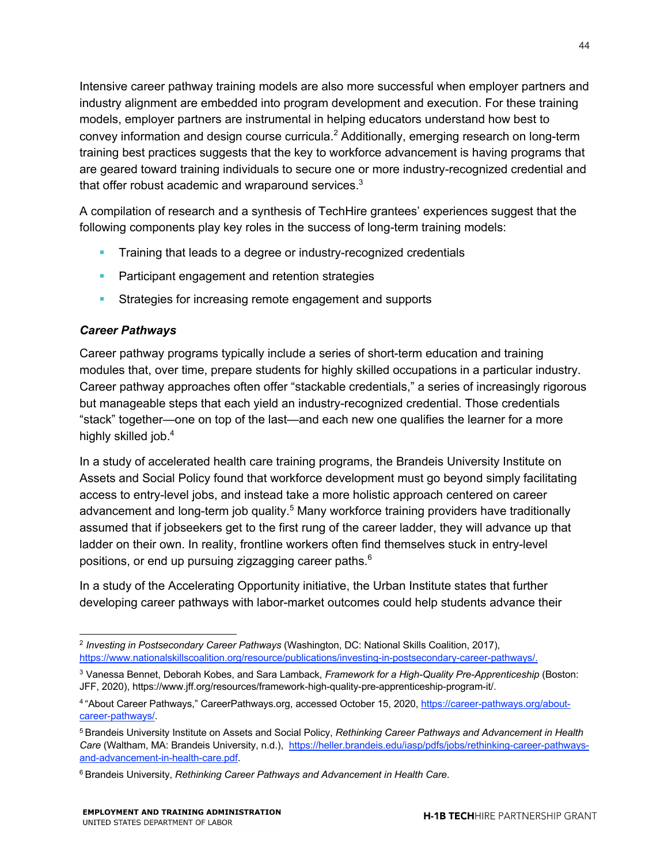Intensive career pathway training models are also more successful when employer partners and industry alignment are embedded into program development and execution. For these training models, employer partners are instrumental in helping educators understand how best to convey information and design course curricula.<sup>2</sup> Additionally, emerging research on long-term training best practices suggests that the key to workforce advancement is having programs that are geared toward training individuals to secure one or more industry-recognized credential and that offer robust academic and wraparound services. $3$ 

A compilation of research and a synthesis of TechHire grantees' experiences suggest that the following components play key roles in the success of long-term training models:

- **•** Training that leads to a degree or industry-recognized credentials
- **Participant engagement and retention strategies**
- **Strategies for increasing remote engagement and supports**

#### *Career Pathways*

Career pathway programs typically include a series of short-term education and training modules that, over time, prepare students for highly skilled occupations in a particular industry. Career pathway approaches often offer "stackable credentials," a series of increasingly rigorous but manageable steps that each yield an industry-recognized credential. Those credentials "stack" together—one on top of the last—and each new one qualifies the learner for a more highly skilled job.<sup>4</sup>

In a study of accelerated health care training programs, the Brandeis University Institute on Assets and Social Policy found that workforce development must go beyond simply facilitating access to entry-level jobs, and instead take a more holistic approach centered on career advancement and long-term job quality.<sup>5</sup> Many workforce training providers have traditionally assumed that if jobseekers get to the first rung of the career ladder, they will advance up that ladder on their own. In reality, frontline workers often find themselves stuck in entry-level positions, or end up pursuing zigzagging career paths.<sup>6</sup>

In a study of the Accelerating Opportunity initiative, the Urban Institute states that further developing career pathways with labor-market outcomes could help students advance their

<sup>2</sup> *Investing in Postsecondary Career Pathways* (Washington, DC: National Skills Coalition, 2017), https://www.nationalskillscoalition.org/resource/publications/investing-in-postsecondary-career-pathways/.

<sup>3</sup> Vanessa Bennet, Deborah Kobes, and Sara Lamback, *Framework for a High-Quality Pre-Apprenticeship* (Boston: JFF, 2020), https://www.jff.org/resources/framework-high-quality-pre-apprenticeship-program-it/.

<sup>4</sup> "About Career Pathways," CareerPathways.org, accessed October 15, 2020, https://career-pathways.org/aboutcareer-pathways/.

<sup>5</sup> Brandeis University Institute on Assets and Social Policy, *Rethinking Career Pathways and Advancement in Health Care* (Waltham, MA: Brandeis University, n.d.), https://heller.brandeis.edu/iasp/pdfs/jobs/rethinking-career-pathwaysand-advancement-in-health-care.pdf.

<sup>6</sup> Brandeis University, *Rethinking Career Pathways and Advancement in Health Care*.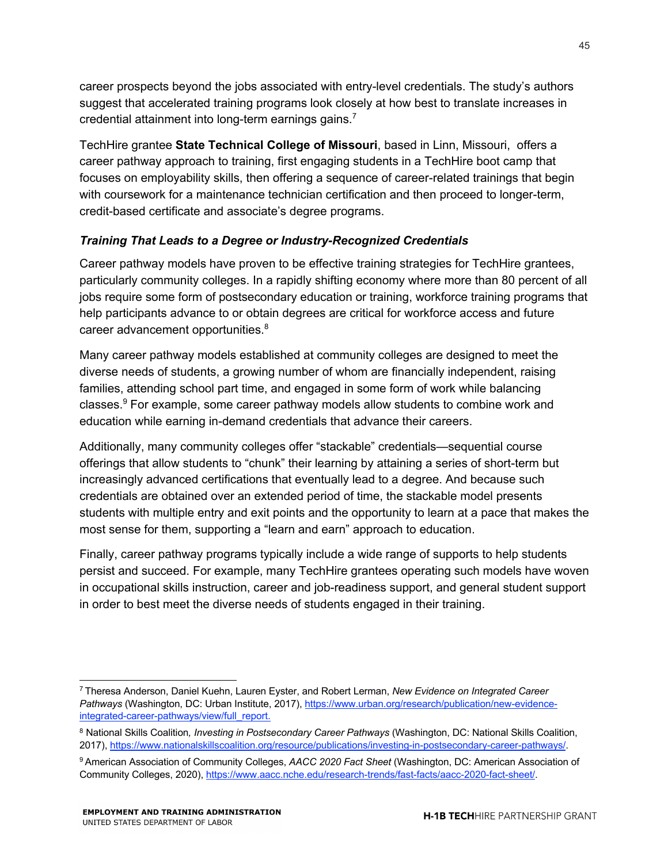career prospects beyond the jobs associated with entry-level credentials. The study's authors suggest that accelerated training programs look closely at how best to translate increases in credential attainment into long-term earnings gains.<sup>7</sup>

TechHire grantee **State Technical College of Missouri**, based in Linn, Missouri, offers a career pathway approach to training, first engaging students in a TechHire boot camp that focuses on employability skills, then offering a sequence of career-related trainings that begin with coursework for a maintenance technician certification and then proceed to longer-term, credit-based certificate and associate's degree programs.

#### *Training That Leads to a Degree or Industry-Recognized Credentials*

Career pathway models have proven to be effective training strategies for TechHire grantees, particularly community colleges. In a rapidly shifting economy where more than 80 percent of all jobs require some form of postsecondary education or training, workforce training programs that help participants advance to or obtain degrees are critical for workforce access and future career advancement opportunities.<sup>8</sup>

Many career pathway models established at community colleges are designed to meet the diverse needs of students, a growing number of whom are financially independent, raising families, attending school part time, and engaged in some form of work while balancing classes.<sup>9</sup> For example, some career pathway models allow students to combine work and education while earning in-demand credentials that advance their careers.

Additionally, many community colleges offer "stackable" credentials—sequential course offerings that allow students to "chunk" their learning by attaining a series of short-term but increasingly advanced certifications that eventually lead to a degree. And because such credentials are obtained over an extended period of time, the stackable model presents students with multiple entry and exit points and the opportunity to learn at a pace that makes the most sense for them, supporting a "learn and earn" approach to education.

Finally, career pathway programs typically include a wide range of supports to help students persist and succeed. For example, many TechHire grantees operating such models have woven in occupational skills instruction, career and job-readiness support, and general student support in order to best meet the diverse needs of students engaged in their training.

<sup>7</sup> Theresa Anderson, Daniel Kuehn, Lauren Eyster, and Robert Lerman, *New Evidence on Integrated Career Pathways* (Washington, DC: Urban Institute, 2017), https://www.urban.org/research/publication/new-evidenceintegrated-career-pathways/view/full\_report.

<sup>8</sup> National Skills Coalition*, Investing in Postsecondary Career Pathways* (Washington, DC: National Skills Coalition, 2017), https://www.nationalskillscoalition.org/resource/publications/investing-in-postsecondary-career-pathways/.

<sup>9</sup> American Association of Community Colleges, *AACC 2020 Fact Sheet* (Washington, DC: American Association of Community Colleges, 2020), https://www.aacc.nche.edu/research-trends/fast-facts/aacc-2020-fact-sheet/.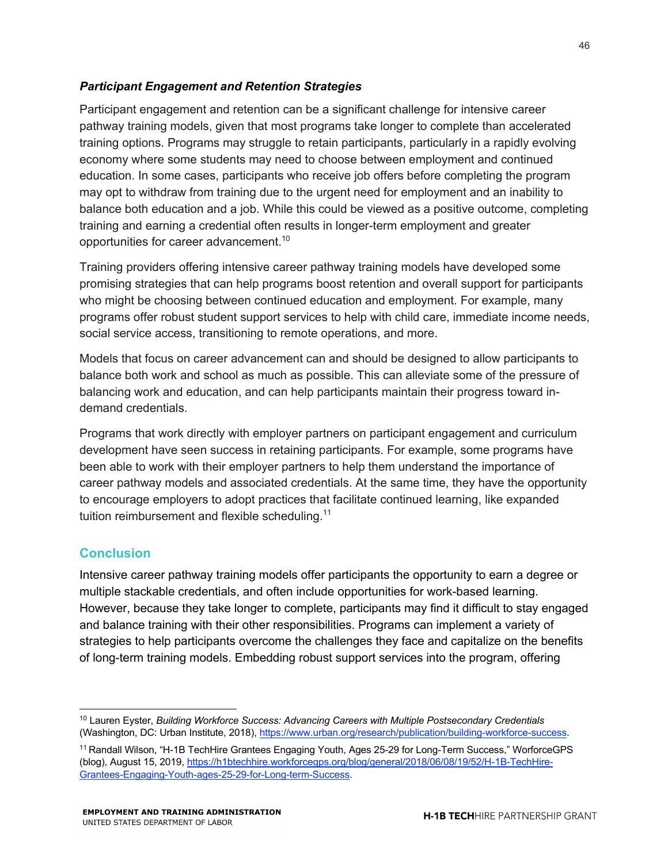#### *Participant Engagement and Retention Strategies*

Participant engagement and retention can be a significant challenge for intensive career pathway training models, given that most programs take longer to complete than accelerated training options. Programs may struggle to retain participants, particularly in a rapidly evolving economy where some students may need to choose between employment and continued education. In some cases, participants who receive job offers before completing the program may opt to withdraw from training due to the urgent need for employment and an inability to balance both education and a job. While this could be viewed as a positive outcome, completing training and earning a credential often results in longer-term employment and greater opportunities for career advancement. 10

Training providers offering intensive career pathway training models have developed some promising strategies that can help programs boost retention and overall support for participants who might be choosing between continued education and employment. For example, many programs offer robust student support services to help with child care, immediate income needs, social service access, transitioning to remote operations, and more.

Models that focus on career advancement can and should be designed to allow participants to balance both work and school as much as possible. This can alleviate some of the pressure of balancing work and education, and can help participants maintain their progress toward indemand credentials.

Programs that work directly with employer partners on participant engagement and curriculum development have seen success in retaining participants. For example, some programs have been able to work with their employer partners to help them understand the importance of career pathway models and associated credentials. At the same time, they have the opportunity to encourage employers to adopt practices that facilitate continued learning, like expanded tuition reimbursement and flexible scheduling.<sup>11</sup>

#### **Conclusion**

Intensive career pathway training models offer participants the opportunity to earn a degree or multiple stackable credentials, and often include opportunities for work-based learning. However, because they take longer to complete, participants may find it difficult to stay engaged and balance training with their other responsibilities. Programs can implement a variety of strategies to help participants overcome the challenges they face and capitalize on the benefits of long-term training models. Embedding robust support services into the program, offering

<sup>10</sup> Lauren Eyster, *Building Workforce Success: Advancing Careers with Multiple Postsecondary Credentials* (Washington, DC: Urban Institute, 2018), https://www.urban.org/research/publication/building-workforce-success.

<sup>11</sup> Randall Wilson, "H-1B TechHire Grantees Engaging Youth, Ages 25-29 for Long-Term Success," WorforceGPS (blog), August 15, 2019, https://h1btechhire.workforcegps.org/blog/general/2018/06/08/19/52/H-1B-TechHire-Grantees-Engaging-Youth-ages-25-29-for-Long-term-Success.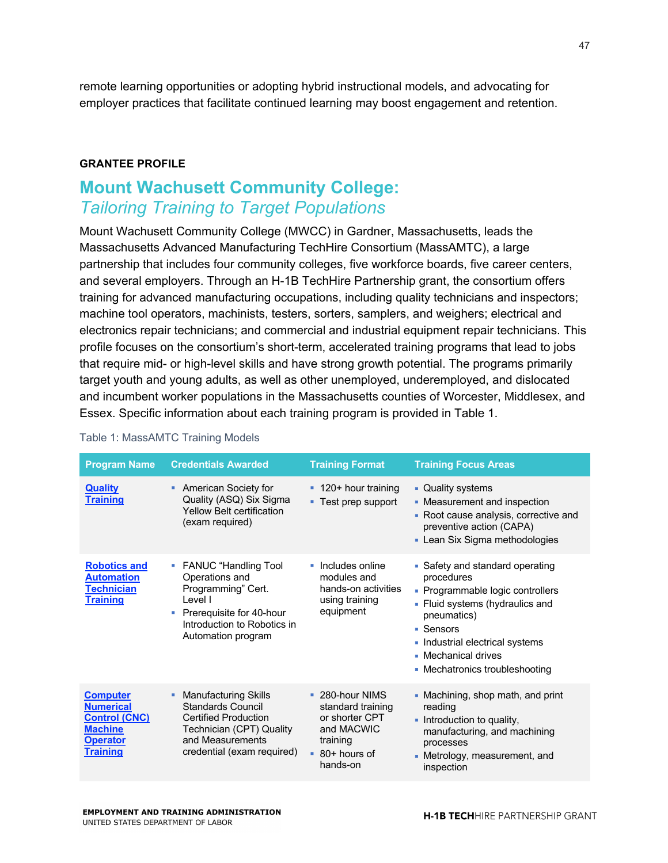remote learning opportunities or adopting hybrid instructional models, and advocating for employer practices that facilitate continued learning may boost engagement and retention.

#### **GRANTEE PROFILE**

# **Mount Wachusett Community College:** *Tailoring Training to Target Populations*

Mount Wachusett Community College (MWCC) in Gardner, Massachusetts, leads the Massachusetts Advanced Manufacturing TechHire Consortium (MassAMTC), a large partnership that includes four community colleges, five workforce boards, five career centers, and several employers. Through an H-1B TechHire Partnership grant, the consortium offers training for advanced manufacturing occupations, including quality technicians and inspectors; machine tool operators, machinists, testers, sorters, samplers, and weighers; electrical and electronics repair technicians; and commercial and industrial equipment repair technicians. This profile focuses on the consortium's short-term, accelerated training programs that lead to jobs that require mid- or high-level skills and have strong growth potential. The programs primarily target youth and young adults, as well as other unemployed, underemployed, and dislocated and incumbent worker populations in the Massachusetts counties of Worcester, Middlesex, and Essex. Specific information about each training program is provided in Table 1.

| <b>Program Name</b>                                                                                                 | <b>Credentials Awarded</b>                                                                                                                                                | <b>Training Format</b>                                                                                          | <b>Training Focus Areas</b>                                                                                                                                                                                                                  |
|---------------------------------------------------------------------------------------------------------------------|---------------------------------------------------------------------------------------------------------------------------------------------------------------------------|-----------------------------------------------------------------------------------------------------------------|----------------------------------------------------------------------------------------------------------------------------------------------------------------------------------------------------------------------------------------------|
| <b>Quality</b><br><b>Training</b>                                                                                   | <b>American Society for</b><br>Quality (ASQ) Six Sigma<br><b>Yellow Belt certification</b><br>(exam required)                                                             | • 120+ hour training<br>■ Test prep support                                                                     | • Quality systems<br>• Measurement and inspection<br>• Root cause analysis, corrective and<br>preventive action (CAPA)<br>• Lean Six Sigma methodologies                                                                                     |
| <b>Robotics and</b><br><b>Automation</b><br><b>Technician</b><br><b>Training</b>                                    | • FANUC "Handling Tool<br>Operations and<br>Programming" Cert.<br>Level I<br>Prerequisite for 40-hour<br>Introduction to Robotics in<br>Automation program                | • Includes online<br>modules and<br>hands-on activities<br>using training<br>equipment                          | • Safety and standard operating<br>procedures<br>• Programmable logic controllers<br>• Fluid systems (hydraulics and<br>pneumatics)<br>■ Sensors<br>• Industrial electrical systems<br>• Mechanical drives<br>• Mechatronics troubleshooting |
| <b>Computer</b><br><b>Numerical</b><br><b>Control (CNC)</b><br><b>Machine</b><br><b>Operator</b><br><b>Training</b> | <b>Manufacturing Skills</b><br>٠<br><b>Standards Council</b><br><b>Certified Production</b><br>Technician (CPT) Quality<br>and Measurements<br>credential (exam required) | • 280-hour NIMS<br>standard training<br>or shorter CPT<br>and MACWIC<br>training<br>$-80+$ hours of<br>hands-on | • Machining, shop math, and print<br>reading<br>• Introduction to quality,<br>manufacturing, and machining<br>processes<br>• Metrology, measurement, and<br>inspection                                                                       |

#### Table 1: MassAMTC Training Models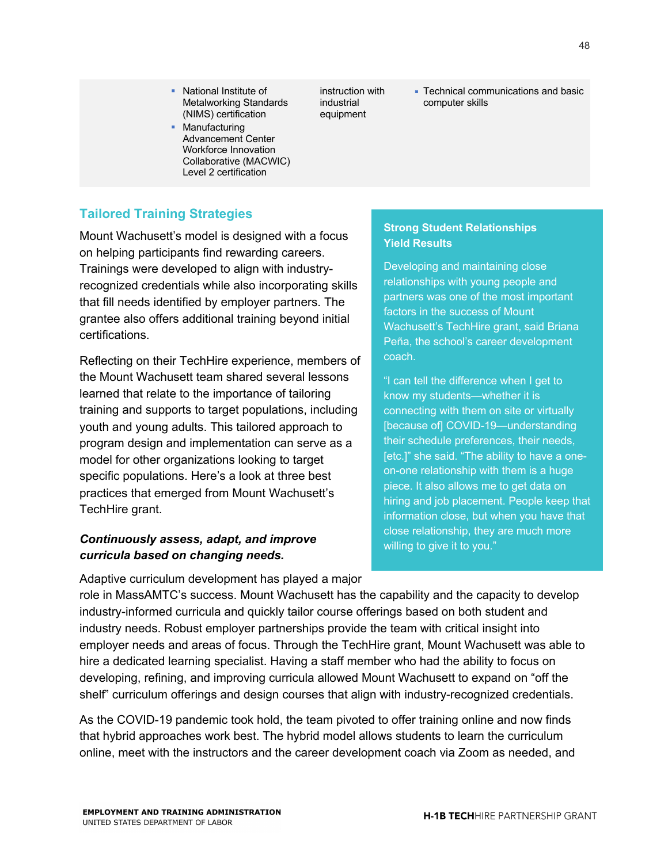■ Technical communications and basic computer skills

### **Tailored Training Strategies**

Mount Wachusett's model is designed with a focus on helping participants find rewarding careers. Trainings were developed to align with industryrecognized credentials while also incorporating skills that fill needs identified by employer partners. The grantee also offers additional training beyond initial certifications.

§ National Institute of Metalworking Standards (NIMS) certification • Manufacturing

Advancement Center Workforce Innovation Collaborative (MACWIC) Level 2 certification

Reflecting on their TechHire experience, members of the Mount Wachusett team shared several lessons learned that relate to the importance of tailoring training and supports to target populations, including youth and young adults. This tailored approach to program design and implementation can serve as a model for other organizations looking to target specific populations. Here's a look at three best practices that emerged from Mount Wachusett's TechHire grant.

#### *Continuously assess, adapt, and improve curricula based on changing needs.*

Adaptive curriculum development has played a major

#### **Strong Student Relationships Yield Results**

Developing and maintaining close relationships with young people and partners was one of the most important factors in the success of Mount Wachusett's TechHire grant, said Briana Peña, the school's career development coach.

"I can tell the difference when I get to know my students—whether it is connecting with them on site or virtually [because of] COVID-19—understanding their schedule preferences, their needs, [etc.]" she said. "The ability to have a oneon-one relationship with them is a huge piece. It also allows me to get data on hiring and job placement. People keep that information close, but when you have that close relationship, they are much more willing to give it to you."

role in MassAMTC's success. Mount Wachusett has the capability and the capacity to develop industry-informed curricula and quickly tailor course offerings based on both student and industry needs. Robust employer partnerships provide the team with critical insight into employer needs and areas of focus. Through the TechHire grant, Mount Wachusett was able to hire a dedicated learning specialist. Having a staff member who had the ability to focus on developing, refining, and improving curricula allowed Mount Wachusett to expand on "off the shelf" curriculum offerings and design courses that align with industry-recognized credentials.

instruction with industrial equipment

As the COVID-19 pandemic took hold, the team pivoted to offer training online and now finds that hybrid approaches work best. The hybrid model allows students to learn the curriculum online, meet with the instructors and the career development coach via Zoom as needed, and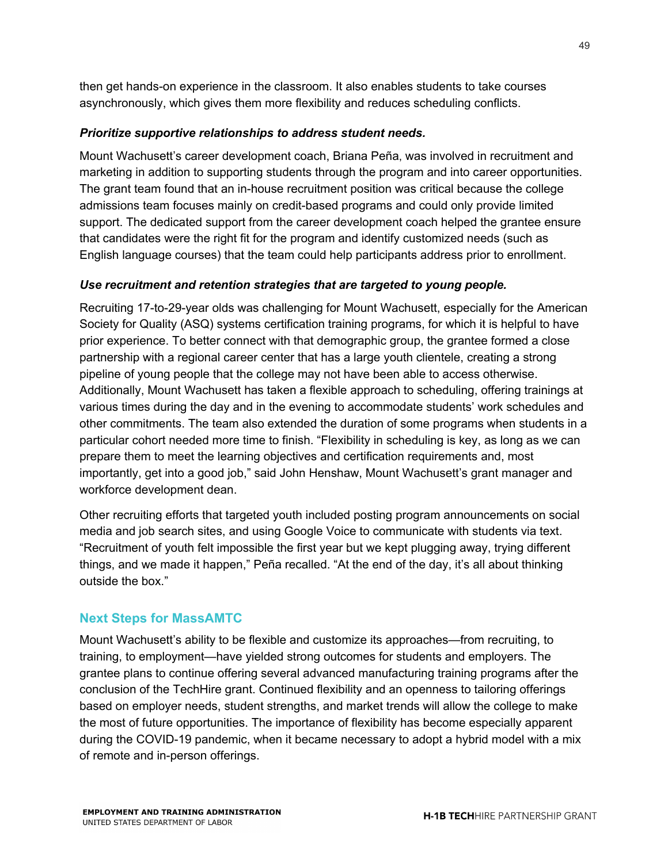then get hands-on experience in the classroom. It also enables students to take courses asynchronously, which gives them more flexibility and reduces scheduling conflicts.

#### *Prioritize supportive relationships to address student needs.*

Mount Wachusett's career development coach, Briana Peña, was involved in recruitment and marketing in addition to supporting students through the program and into career opportunities. The grant team found that an in-house recruitment position was critical because the college admissions team focuses mainly on credit-based programs and could only provide limited support. The dedicated support from the career development coach helped the grantee ensure that candidates were the right fit for the program and identify customized needs (such as English language courses) that the team could help participants address prior to enrollment.

#### *Use recruitment and retention strategies that are targeted to young people.*

Recruiting 17-to-29-year olds was challenging for Mount Wachusett, especially for the American Society for Quality (ASQ) systems certification training programs, for which it is helpful to have prior experience. To better connect with that demographic group, the grantee formed a close partnership with a regional career center that has a large youth clientele, creating a strong pipeline of young people that the college may not have been able to access otherwise. Additionally, Mount Wachusett has taken a flexible approach to scheduling, offering trainings at various times during the day and in the evening to accommodate students' work schedules and other commitments. The team also extended the duration of some programs when students in a particular cohort needed more time to finish. "Flexibility in scheduling is key, as long as we can prepare them to meet the learning objectives and certification requirements and, most importantly, get into a good job," said John Henshaw, Mount Wachusett's grant manager and workforce development dean.

Other recruiting efforts that targeted youth included posting program announcements on social media and job search sites, and using Google Voice to communicate with students via text. "Recruitment of youth felt impossible the first year but we kept plugging away, trying different things, and we made it happen," Peña recalled. "At the end of the day, it's all about thinking outside the box."

#### **Next Steps for MassAMTC**

Mount Wachusett's ability to be flexible and customize its approaches—from recruiting, to training, to employment—have yielded strong outcomes for students and employers. The grantee plans to continue offering several advanced manufacturing training programs after the conclusion of the TechHire grant. Continued flexibility and an openness to tailoring offerings based on employer needs, student strengths, and market trends will allow the college to make the most of future opportunities. The importance of flexibility has become especially apparent during the COVID-19 pandemic, when it became necessary to adopt a hybrid model with a mix of remote and in-person offerings.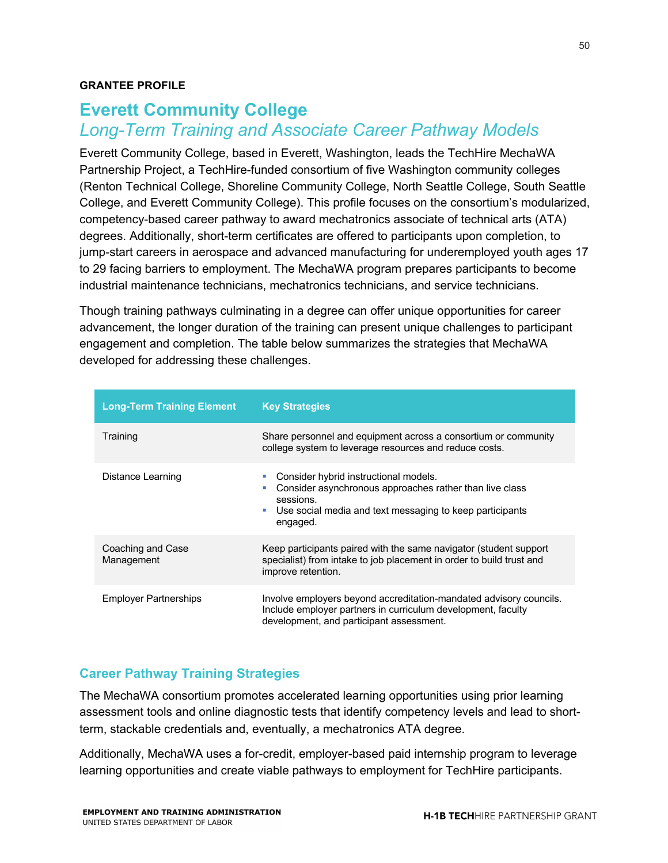#### **GRANTEE PROFILE**

# **Everett Community College**  *Long-Term Training and Associate Career Pathway Models*

Everett Community College, based in Everett, Washington, leads the TechHire MechaWA Partnership Project, a TechHire-funded consortium of five Washington community colleges (Renton Technical College, Shoreline Community College, North Seattle College, South Seattle College, and Everett Community College). This profile focuses on the consortium's modularized, competency-based career pathway to award mechatronics associate of technical arts (ATA) degrees. Additionally, short-term certificates are offered to participants upon completion, to jump-start careers in aerospace and advanced manufacturing for underemployed youth ages 17 to 29 facing barriers to employment. The MechaWA program prepares participants to become industrial maintenance technicians, mechatronics technicians, and service technicians.

Though training pathways culminating in a degree can offer unique opportunities for career advancement, the longer duration of the training can present unique challenges to participant engagement and completion. The table below summarizes the strategies that MechaWA developed for addressing these challenges.

| <b>Long-Term Training Element</b> | <b>Key Strategies</b>                                                                                                                                                                           |  |
|-----------------------------------|-------------------------------------------------------------------------------------------------------------------------------------------------------------------------------------------------|--|
| Training                          | Share personnel and equipment across a consortium or community<br>college system to leverage resources and reduce costs.                                                                        |  |
| Distance Learning                 | Consider hybrid instructional models.<br>Consider asynchronous approaches rather than live class<br>×<br>sessions.<br>Use social media and text messaging to keep participants<br>×<br>engaged. |  |
| Coaching and Case<br>Management   | Keep participants paired with the same navigator (student support<br>specialist) from intake to job placement in order to build trust and<br>improve retention.                                 |  |
| <b>Employer Partnerships</b>      | Involve employers beyond accreditation-mandated advisory councils.<br>Include employer partners in curriculum development, faculty<br>development, and participant assessment.                  |  |

#### **Career Pathway Training Strategies**

The MechaWA consortium promotes accelerated learning opportunities using prior learning assessment tools and online diagnostic tests that identify competency levels and lead to shortterm, stackable credentials and, eventually, a mechatronics ATA degree.

Additionally, MechaWA uses a for-credit, employer-based paid internship program to leverage learning opportunities and create viable pathways to employment for TechHire participants.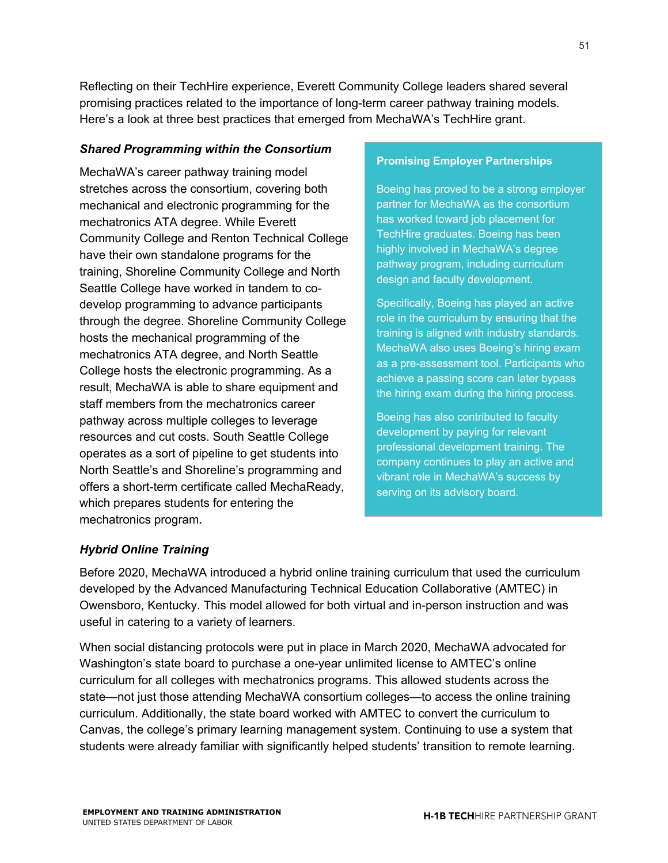Reflecting on their TechHire experience, Everett Community College leaders shared several promising practices related to the importance of long-term career pathway training models. Here's a look at three best practices that emerged from MechaWA's TechHire grant.

#### *Shared Programming within the Consortium*

MechaWA's career pathway training model stretches across the consortium, covering both mechanical and electronic programming for the mechatronics ATA degree. While Everett Community College and Renton Technical College have their own standalone programs for the training, Shoreline Community College and North Seattle College have worked in tandem to codevelop programming to advance participants through the degree. Shoreline Community College hosts the mechanical programming of the mechatronics ATA degree, and North Seattle College hosts the electronic programming. As a result, MechaWA is able to share equipment and staff members from the mechatronics career pathway across multiple colleges to leverage resources and cut costs. South Seattle College operates as a sort of pipeline to get students into North Seattle's and Shoreline's programming and offers a short-term certificate called MechaReady, which prepares students for entering the mechatronics program.

#### **Promising Employer Partnerships**

Boeing has proved to be a strong employer partner for MechaWA as the consortium has worked toward job placement for TechHire graduates. Boeing has been highly involved in MechaWA's degree pathway program, including curriculum design and faculty development.

Specifically, Boeing has played an active role in the curriculum by ensuring that the training is aligned with industry standards. MechaWA also uses Boeing's hiring exam as a pre-assessment tool. Participants who achieve a passing score can later bypass the hiring exam during the hiring process.

Boeing has also contributed to faculty development by paying for relevant professional development training. The company continues to play an active and vibrant role in MechaWA's success by serving on its advisory board.

#### *Hybrid Online Training*

Before 2020, MechaWA introduced a hybrid online training curriculum that used the curriculum developed by the Advanced Manufacturing Technical Education Collaborative (AMTEC) in Owensboro, Kentucky. This model allowed for both virtual and in-person instruction and was useful in catering to a variety of learners.

When social distancing protocols were put in place in March 2020, MechaWA advocated for Washington's state board to purchase a one-year unlimited license to AMTEC's online curriculum for all colleges with mechatronics programs. This allowed students across the state—not just those attending MechaWA consortium colleges—to access the online training curriculum. Additionally, the state board worked with AMTEC to convert the curriculum to Canvas, the college's primary learning management system. Continuing to use a system that students were already familiar with significantly helped students' transition to remote learning.